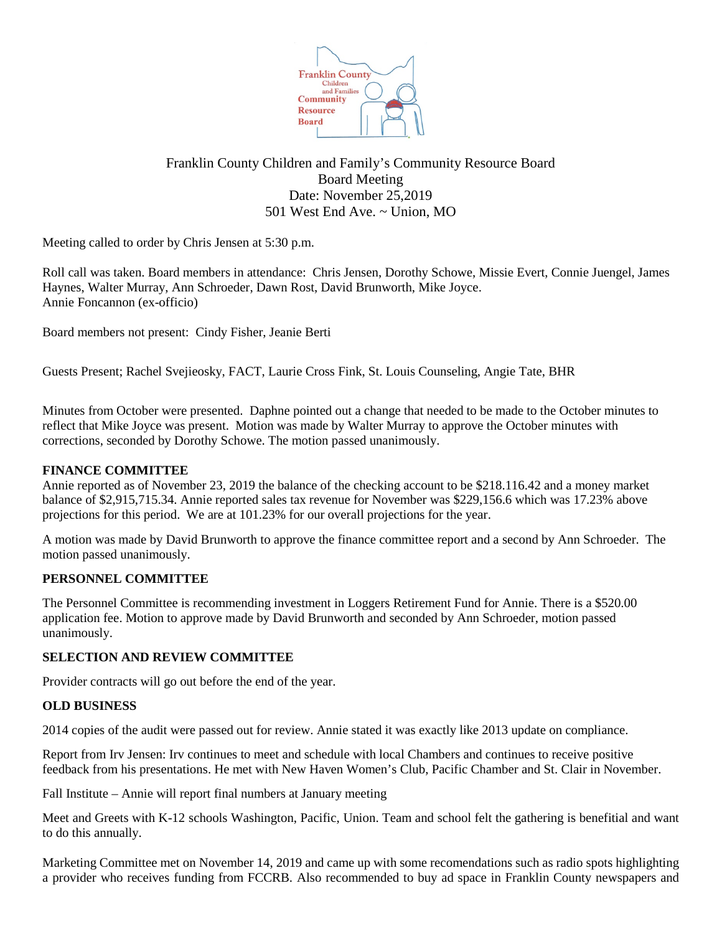

# Franklin County Children and Family's Community Resource Board Board Meeting Date: November 25,2019 501 West End Ave. ~ Union, MO

Meeting called to order by Chris Jensen at 5:30 p.m.

Roll call was taken. Board members in attendance: Chris Jensen, Dorothy Schowe, Missie Evert, Connie Juengel, James Haynes, Walter Murray, Ann Schroeder, Dawn Rost, David Brunworth, Mike Joyce. Annie Foncannon (ex-officio)

Board members not present: Cindy Fisher, Jeanie Berti

Guests Present; Rachel Svejieosky, FACT, Laurie Cross Fink, St. Louis Counseling, Angie Tate, BHR

Minutes from October were presented. Daphne pointed out a change that needed to be made to the October minutes to reflect that Mike Joyce was present. Motion was made by Walter Murray to approve the October minutes with corrections, seconded by Dorothy Schowe. The motion passed unanimously.

## **FINANCE COMMITTEE**

Annie reported as of November 23, 2019 the balance of the checking account to be \$218.116.42 and a money market balance of \$2,915,715.34. Annie reported sales tax revenue for November was \$229,156.6 which was 17.23% above projections for this period. We are at 101.23% for our overall projections for the year.

A motion was made by David Brunworth to approve the finance committee report and a second by Ann Schroeder. The motion passed unanimously.

#### **PERSONNEL COMMITTEE**

The Personnel Committee is recommending investment in Loggers Retirement Fund for Annie. There is a \$520.00 application fee. Motion to approve made by David Brunworth and seconded by Ann Schroeder, motion passed unanimously.

#### **SELECTION AND REVIEW COMMITTEE**

Provider contracts will go out before the end of the year.

#### **OLD BUSINESS**

2014 copies of the audit were passed out for review. Annie stated it was exactly like 2013 update on compliance.

Report from Irv Jensen: Irv continues to meet and schedule with local Chambers and continues to receive positive feedback from his presentations. He met with New Haven Women's Club, Pacific Chamber and St. Clair in November.

Fall Institute – Annie will report final numbers at January meeting

Meet and Greets with K-12 schools Washington, Pacific, Union. Team and school felt the gathering is benefitial and want to do this annually.

Marketing Committee met on November 14, 2019 and came up with some recomendations such as radio spots highlighting a provider who receives funding from FCCRB. Also recommended to buy ad space in Franklin County newspapers and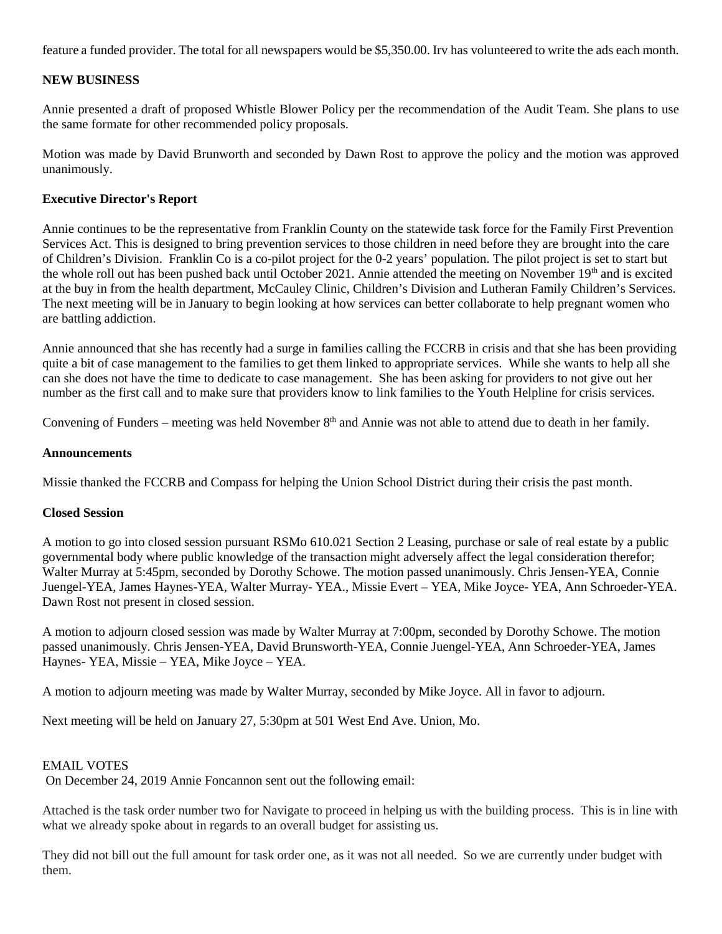feature a funded provider. The total for all newspapers would be \$5,350.00. Irv has volunteered to write the ads each month.

#### **NEW BUSINESS**

Annie presented a draft of proposed Whistle Blower Policy per the recommendation of the Audit Team. She plans to use the same formate for other recommended policy proposals.

Motion was made by David Brunworth and seconded by Dawn Rost to approve the policy and the motion was approved unanimously.

#### **Executive Director's Report**

Annie continues to be the representative from Franklin County on the statewide task force for the Family First Prevention Services Act. This is designed to bring prevention services to those children in need before they are brought into the care of Children's Division. Franklin Co is a co-pilot project for the 0-2 years' population. The pilot project is set to start but the whole roll out has been pushed back until October 2021. Annie attended the meeting on November 19th and is excited at the buy in from the health department, McCauley Clinic, Children's Division and Lutheran Family Children's Services. The next meeting will be in January to begin looking at how services can better collaborate to help pregnant women who are battling addiction.

Annie announced that she has recently had a surge in families calling the FCCRB in crisis and that she has been providing quite a bit of case management to the families to get them linked to appropriate services. While she wants to help all she can she does not have the time to dedicate to case management. She has been asking for providers to not give out her number as the first call and to make sure that providers know to link families to the Youth Helpline for crisis services.

Convening of Funders – meeting was held November  $8<sup>th</sup>$  and Annie was not able to attend due to death in her family.

#### **Announcements**

Missie thanked the FCCRB and Compass for helping the Union School District during their crisis the past month.

## **Closed Session**

A motion to go into closed session pursuant RSMo 610.021 Section 2 Leasing, purchase or sale of real estate by a public governmental body where public knowledge of the transaction might adversely affect the legal consideration therefor; Walter Murray at 5:45pm, seconded by Dorothy Schowe. The motion passed unanimously. Chris Jensen-YEA, Connie Juengel-YEA, James Haynes-YEA, Walter Murray- YEA., Missie Evert – YEA, Mike Joyce- YEA, Ann Schroeder-YEA. Dawn Rost not present in closed session.

A motion to adjourn closed session was made by Walter Murray at 7:00pm, seconded by Dorothy Schowe. The motion passed unanimously. Chris Jensen-YEA, David Brunsworth-YEA, Connie Juengel-YEA, Ann Schroeder-YEA, James Haynes- YEA, Missie – YEA, Mike Joyce – YEA.

A motion to adjourn meeting was made by Walter Murray, seconded by Mike Joyce. All in favor to adjourn.

Next meeting will be held on January 27, 5:30pm at 501 West End Ave. Union, Mo.

#### EMAIL VOTES

On December 24, 2019 Annie Foncannon sent out the following email:

Attached is the task order number two for Navigate to proceed in helping us with the building process. This is in line with what we already spoke about in regards to an overall budget for assisting us.

They did not bill out the full amount for task order one, as it was not all needed. So we are currently under budget with them.